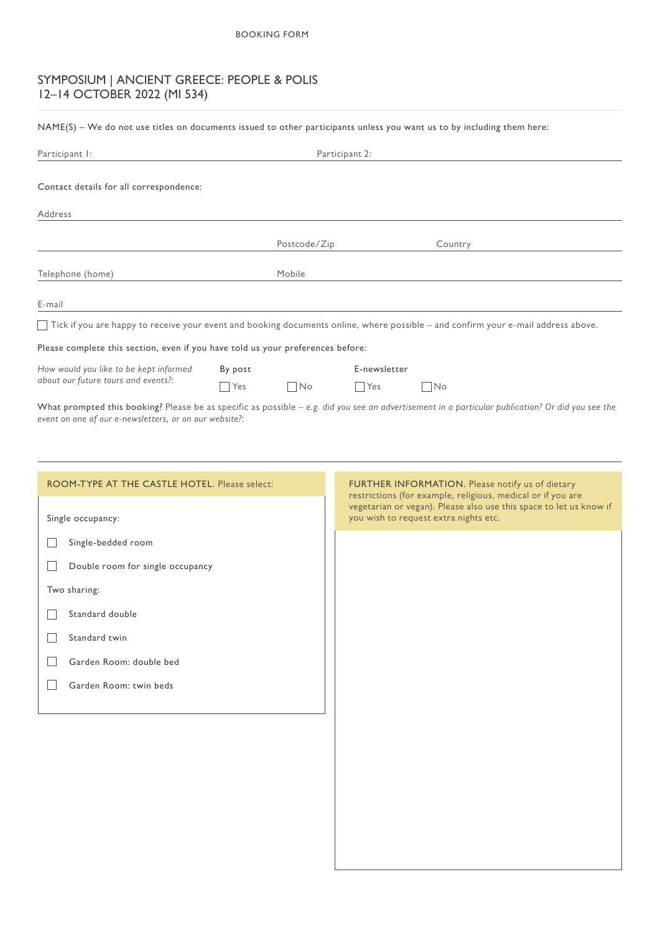# SYMPOSIUM | ANCIENT GREECE: PEOPLE & POLIS 12–14 OCTOBER 2022 (MI 534)

NAME(S) – We do not use titles on documents issued to other participants unless you want us to by including them here:

| Participant I:                                                                                                                    |         |                             | Participant 2: |              |  |
|-----------------------------------------------------------------------------------------------------------------------------------|---------|-----------------------------|----------------|--------------|--|
| Contact details for all correspondence:                                                                                           |         |                             |                |              |  |
| Address                                                                                                                           |         |                             |                |              |  |
|                                                                                                                                   |         | Postcode/Zip                |                | Country      |  |
| Telephone (home)                                                                                                                  |         | Mobile                      |                |              |  |
| E-mail                                                                                                                            |         |                             |                |              |  |
| Tick if you are happy to receive your event and booking documents online, where possible – and confirm your e-mail address above. |         |                             |                |              |  |
| Please complete this section, even if you have told us your preferences before:                                                   |         |                             |                |              |  |
| How would you like to be kept informed                                                                                            | By post |                             |                | E-newsletter |  |
| about our future tours and events?:                                                                                               | Yes     | $\overline{\phantom{1}}$ No | $ $ Yes        | No           |  |
| AMI . IN THE REPORT OF THE PLAN THE REPORT OF THE PLAN TO A PLAN THE REPORT OF THE PLAN TO A PLAN THE REPORT OF                   |         |                             |                |              |  |

What prompted this booking? Please be as specific as possible – e.g. did you see an advertisement in a particular publication? Or did you see the *event on one of our e-newsletters, or on our website?:*

| ROOM-TYPE AT THE CASTLE HOTEL. Please select: | FURTHER INFORMATION. Please notify us of dietary<br>restrictions (for example, religious, medical or if you are |
|-----------------------------------------------|-----------------------------------------------------------------------------------------------------------------|
| Single occupancy:                             | vegetarian or vegan). Please also use this space to let us know if<br>you wish to request extra nights etc.     |
| Single-bedded room                            |                                                                                                                 |
| Double room for single occupancy              |                                                                                                                 |
| Two sharing:                                  |                                                                                                                 |
| Standard double                               |                                                                                                                 |
| Standard twin                                 |                                                                                                                 |
| Garden Room: double bed                       |                                                                                                                 |
| Garden Room: twin beds                        |                                                                                                                 |
|                                               |                                                                                                                 |
|                                               |                                                                                                                 |
|                                               |                                                                                                                 |
|                                               |                                                                                                                 |
|                                               |                                                                                                                 |
|                                               |                                                                                                                 |
|                                               |                                                                                                                 |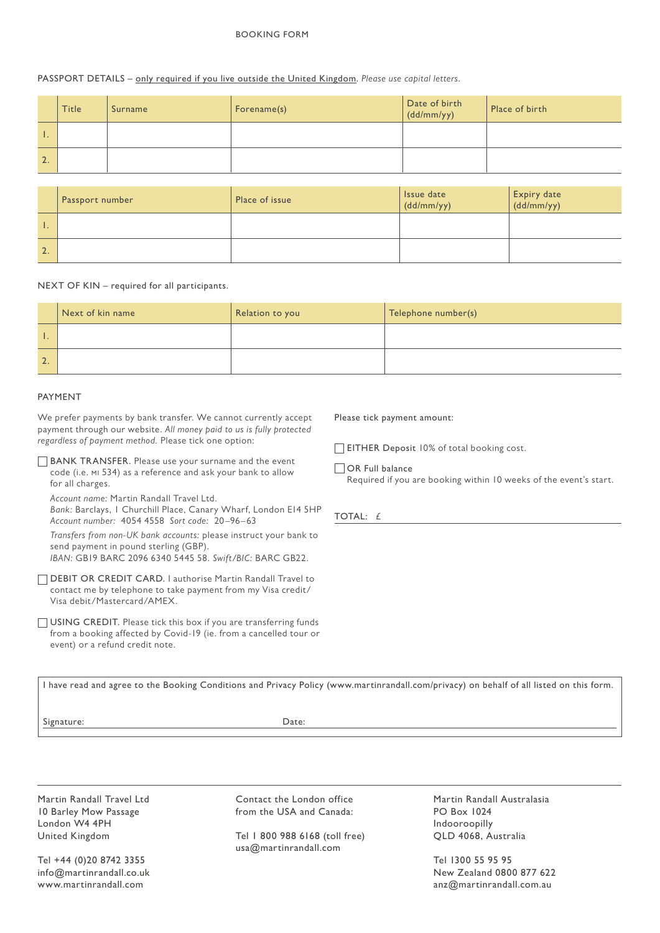#### BOOKING FORM

## PASSPORT DETAILS – only required if you live outside the United Kingdom. *Please use capital letters.*

|    | <b>Title</b> | Surname | Forename(s) | Date of birth<br>(dd/mm/yy) | Place of birth |
|----|--------------|---------|-------------|-----------------------------|----------------|
|    |              |         |             |                             |                |
| 2. |              |         |             |                             |                |

|              | Passport number | Place of issue | Issue date<br>$\frac{1}{\text{dd}/\text{mm}/\text{yy}}$ | Expiry date<br>(dd/mm/yy) |
|--------------|-----------------|----------------|---------------------------------------------------------|---------------------------|
|              |                 |                |                                                         |                           |
| $\mathbf{2}$ |                 |                |                                                         |                           |

#### NEXT OF KIN – required for all participants.

|               | Next of kin name | Relation to you | Telephone number(s) |
|---------------|------------------|-----------------|---------------------|
|               |                  |                 |                     |
| $\mathcal{L}$ |                  |                 |                     |

## PAYMENT

We prefer payments by bank transfer. We cannot currently accept payment through our website. *All money paid to us is fully protected regardless of payment method.* Please tick one option:

BANK TRANSFER. Please use your surname and the event code (i.e. mi 534) as a reference and ask your bank to allow for all charges.

*Account name:* Martin Randall Travel Ltd.

*Bank:* Barclays, 1 Churchill Place, Canary Wharf, London E14 5HP *Account number:* 4054 4558 *Sort code:* 20–96–63

*Transfers from non-UK bank accounts:* please instruct your bank to send payment in pound sterling (GBP).

*IBAN:* GB19 BARC 2096 6340 5445 58. *Swift/BIC:* BARC GB22.

DEBIT OR CREDIT CARD. I authorise Martin Randall Travel to contact me by telephone to take payment from my Visa credit/ Visa debit/Mastercard/AMEX.

USING CREDIT. Please tick this box if you are transferring funds from a booking affected by Covid-19 (ie. from a cancelled tour or event) or a refund credit note.

Please tick payment amount:

EITHER Deposit 10% of total booking cost.

OR Full balance Required if you are booking within 10 weeks of the event's start.

TOTAL: £

I have read and agree to the Booking Conditions and Privacy Policy (www.martinrandall.com/privacy) on behalf of all listed on this form.

Signature: Date:

Martin Randall Travel Ltd 10 Barley Mow Passage London W4 4PH United Kingdom

Tel +44 (0)20 8742 3355 info@martinrandall.co.uk www.martinrandall.com

Contact the London office from the USA and Canada:

Tel 1 800 988 6168 (toll free) usa@martinrandall.com

Martin Randall Australasia PO Box 1024 Indooroopilly QLD 4068, Australia

Tel 1300 55 95 95 New Zealand 0800 877 622 anz@martinrandall.com.au